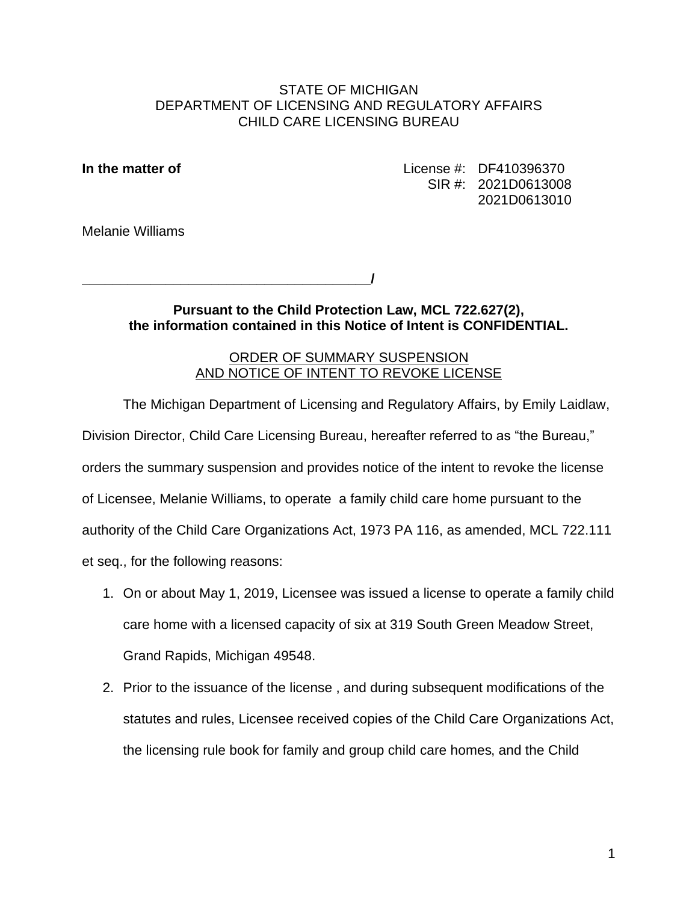### STATE OF MICHIGAN DEPARTMENT OF LICENSING AND REGULATORY AFFAIRS CHILD CARE LICENSING BUREAU

**In the matter of License #: DF410396370** SIR #: 2021D0613008 2021D0613010

Melanie Williams

**\_\_\_\_\_\_\_\_\_\_\_\_\_\_\_\_\_\_\_\_\_\_\_\_\_\_\_\_\_\_\_\_\_\_\_\_\_\_ /**

## **Pursuant to the Child Protection Law, MCL 722.627(2), the information contained in this Notice of Intent is CONFIDENTIAL.**

# ORDER OF SUMMARY SUSPENSION AND NOTICE OF INTENT TO REVOKE LICENSE

The Michigan Department of Licensing and Regulatory Affairs, by Emily Laidlaw, Division Director, Child Care Licensing Bureau, hereafter referred to as "the Bureau," orders the summary suspension and provides notice of the intent to revoke the license of Licensee, Melanie Williams, to operate a family child care home pursuant to the authority of the Child Care Organizations Act, 1973 PA 116, as amended, MCL 722.111 et seq., for the following reasons:

- 1. On or about May 1, 2019, Licensee was issued a license to operate a family child care home with a licensed capacity of six at 319 South Green Meadow Street, Grand Rapids, Michigan 49548.
- 2. Prior to the issuance of the license , and during subsequent modifications of the statutes and rules, Licensee received copies of the Child Care Organizations Act, the licensing rule book for family and group child care homes, and the Child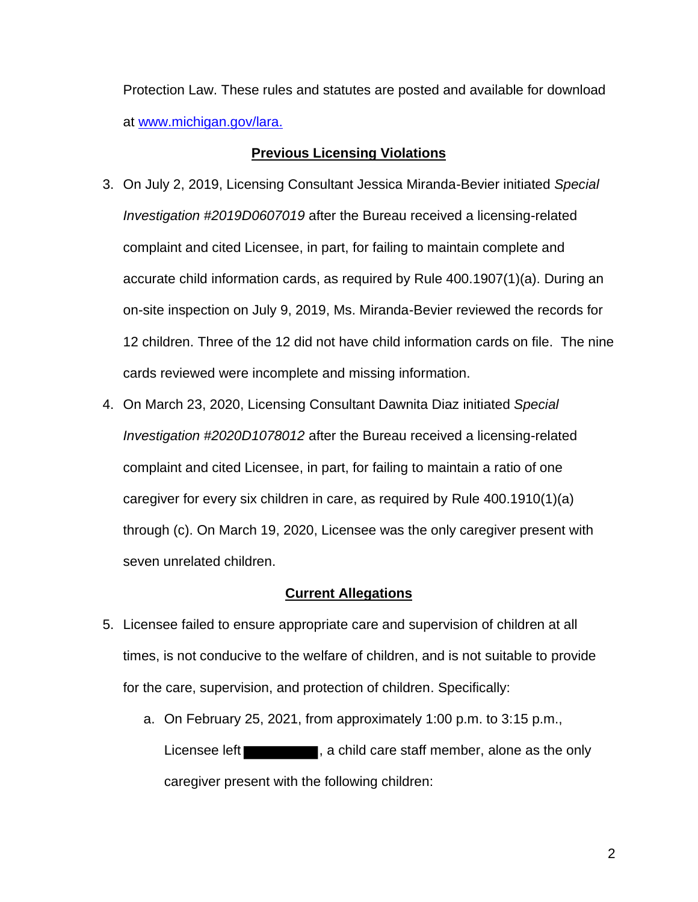Protection Law. These rules and statutes are posted and available for download at www.michigan.gov/lara.

### **Previous Licensing Violations**

- 3. On July 2, 2019, Licensing Consultant Jessica Miranda-Bevier initiated *Special Investigation #2019D0607019* after the Bureau received a licensing-related complaint and cited Licensee, in part, for failing to maintain complete and accurate child information cards, as required by Rule 400.1907(1)(a). During an on-site inspection on July 9, 2019, Ms. Miranda-Bevier reviewed the records for 12 children. Three of the 12 did not have child information cards on file. The nine cards reviewed were incomplete and missing information.
- 4. On March 23, 2020, Licensing Consultant Dawnita Diaz initiated *Special Investigation #2020D1078012* after the Bureau received a licensing-related complaint and cited Licensee, in part, for failing to maintain a ratio of one caregiver for every six children in care, as required by Rule 400.1910(1)(a) through (c). On March 19, 2020, Licensee was the only caregiver present with seven unrelated children.

### **Current Allegations**

- 5. Licensee failed to ensure appropriate care and supervision of children at all times, is not conducive to the welfare of children, and is not suitable to provide for the care, supervision, and protection of children. Specifically:
	- a. On February 25, 2021, from approximately 1:00 p.m. to 3:15 p.m., Licensee left **the contract of the state of the conduct**, a child care staff member, alone as the only caregiver present with the following children: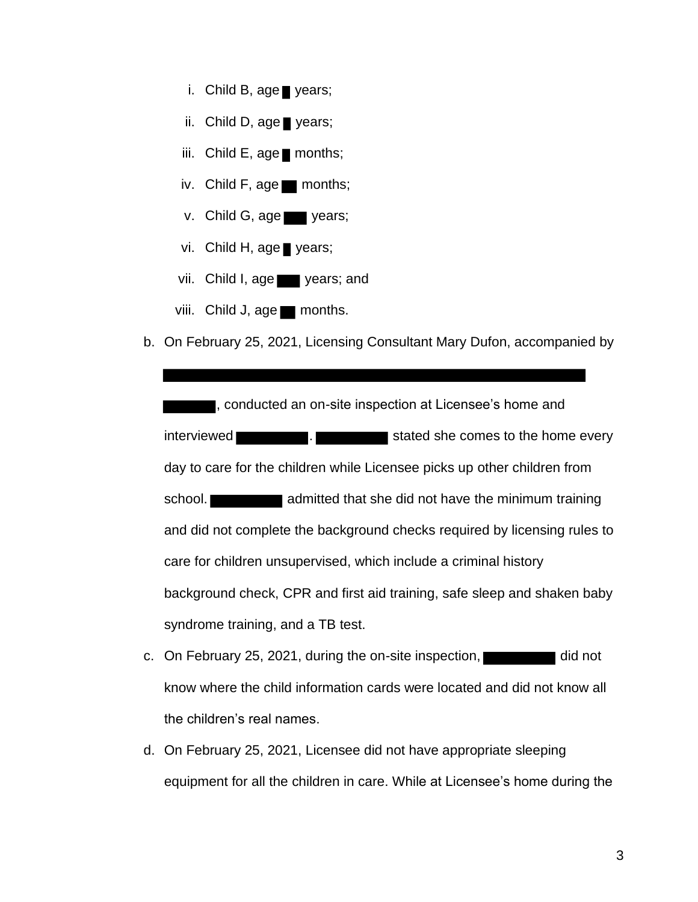- i. Child B, age years;
- ii. Child D, age years;
- iii. Child E, age months;
- iv. Child F, age months;
- v. Child G, age vears;
- vi. Child H, age years;
- vii. Child I, age vears; and
- viii. Child J, age months.
- b. On February 25, 2021, Licensing Consultant Mary Dufon, accompanied by

, conducted an on-site inspection at Licensee's home and interviewed **EXEC . Stated sheets and stated sheets** comes to the home every day to care for the children while Licensee picks up other children from school. **a constructed that she did not have the minimum training** and did not complete the background checks required by licensing rules to care for children unsupervised, which include a criminal history background check, CPR and first aid training, safe sleep and shaken baby syndrome training, and a TB test.

- c. On February 25, 2021, during the on-site inspection, and the did not know where the child information cards were located and did not know all the children's real names.
- d. On February 25, 2021, Licensee did not have appropriate sleeping equipment for all the children in care. While at Licensee's home during the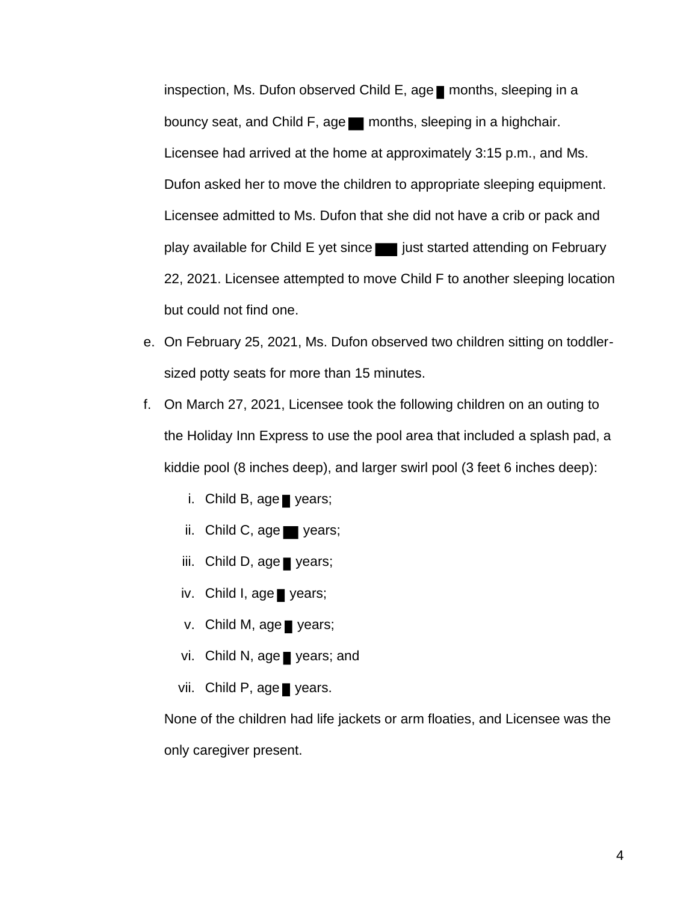inspection, Ms. Dufon observed Child E, age months, sleeping in a bouncy seat, and Child F, age months, sleeping in a highchair. Licensee had arrived at the home at approximately 3:15 p.m., and Ms. Dufon asked her to move the children to appropriate sleeping equipment. Licensee admitted to Ms. Dufon that she did not have a crib or pack and play available for Child E yet since in just started attending on February 22, 2021. Licensee attempted to move Child F to another sleeping location but could not find one.

- e. On February 25, 2021, Ms. Dufon observed two children sitting on toddlersized potty seats for more than 15 minutes.
- f. On March 27, 2021, Licensee took the following children on an outing to the Holiday Inn Express to use the pool area that included a splash pad, a kiddie pool (8 inches deep), and larger swirl pool (3 feet 6 inches deep):
	- i. Child B, age years;
	- ii. Child C, age years;
	- iii. Child D, age years;
	- iv. Child I, age years;
	- v. Child M, age years;
	- vi. Child N, age years; and
	- vii. Child P, age years.

None of the children had life jackets or arm floaties, and Licensee was the only caregiver present.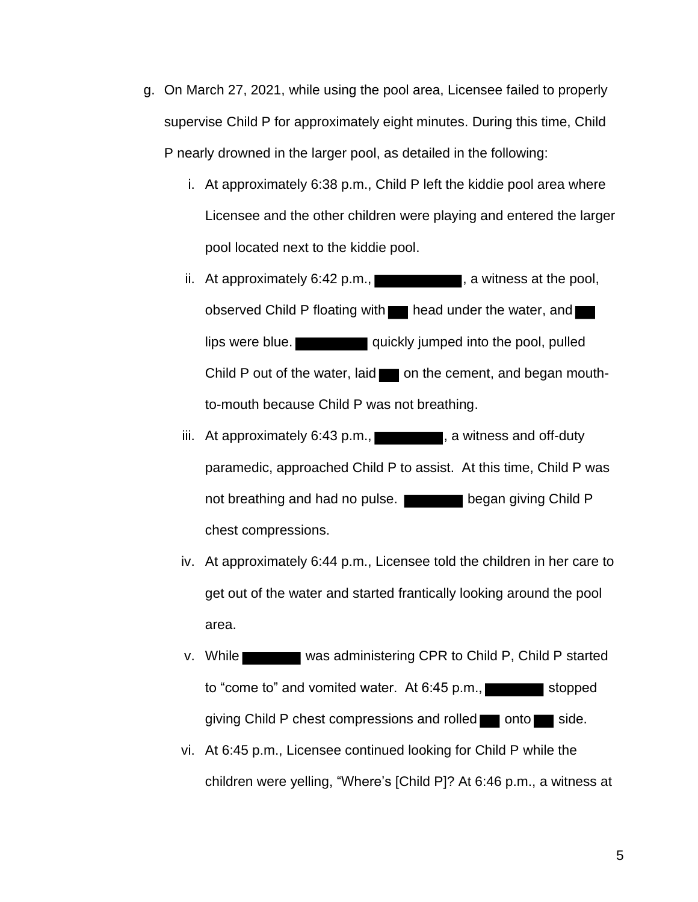- g. On March 27, 2021, while using the pool area, Licensee failed to properly supervise Child P for approximately eight minutes. During this time, Child P nearly drowned in the larger pool, as detailed in the following:
	- i. At approximately 6:38 p.m., Child P left the kiddie pool area where Licensee and the other children were playing and entered the larger pool located next to the kiddie pool.
	- ii. At approximately 6:42 p.m.,  $\blacksquare$ , a witness at the pool, observed Child P floating with **head under the water**, and lips were blue.  $\blacksquare$  quickly jumped into the pool, pulled Child P out of the water, laid  $\Box$  on the cement, and began mouthto-mouth because Child P was not breathing.
	- iii. At approximately  $6:43$  p.m.,  $\blacksquare$ , a witness and off-duty paramedic, approached Child P to assist. At this time, Child P was not breathing and had no pulse. chest compressions.
	- iv. At approximately 6:44 p.m., Licensee told the children in her care to get out of the water and started frantically looking around the pool area.
	- to "come to" and vomited water. At 6:45 p.m., stopped v. While was administering CPR to Child P, Child P started giving Child P chest compressions and rolled  $\Box$  onto  $\Box$  side.
	- vi. At 6:45 p.m., Licensee continued looking for Child P while the children were yelling, "Where's [Child P]? At 6:46 p.m., a witness at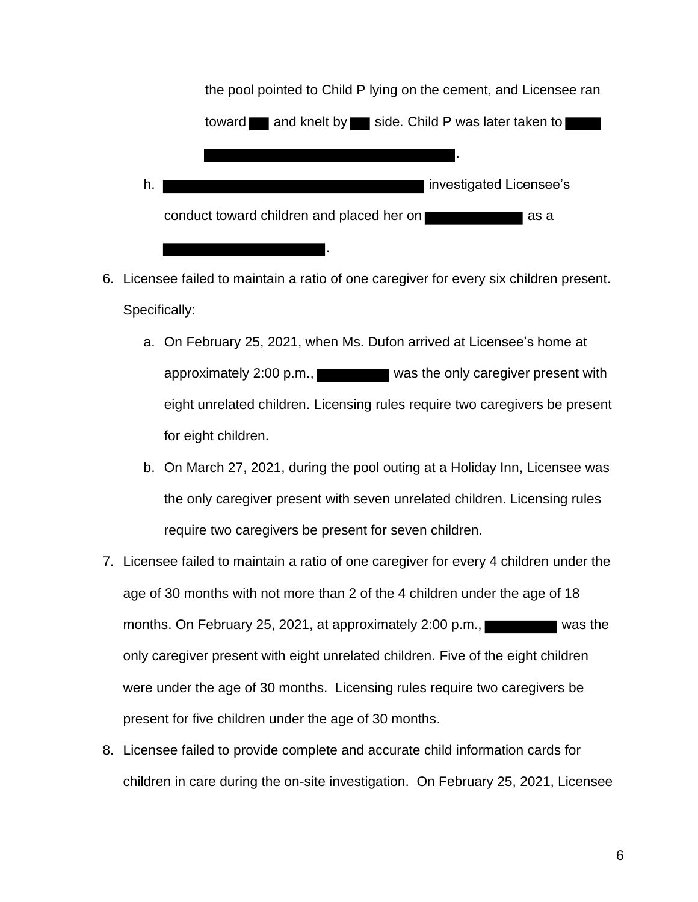

- 6. Licensee failed to maintain a ratio of one caregiver for every six children present. Specifically:
	- a. On February 25, 2021, when Ms. Dufon arrived at Licensee's home at approximately 2:00 p.m., eight unrelated children. Licensing rules require two caregivers be present for eight children.
	- b. On March 27, 2021, during the pool outing at a Holiday Inn, Licensee was the only caregiver present with seven unrelated children. Licensing rules require two caregivers be present for seven children.
- 7. Licensee failed to maintain a ratio of one caregiver for every 4 children under the age of 30 months with not more than 2 of the 4 children under the age of 18 months. On February 25, 2021, at approximately 2:00 p.m., was the only caregiver present with eight unrelated children. Five of the eight children were under the age of 30 months. Licensing rules require two caregivers be present for five children under the age of 30 months.
- 8. Licensee failed to provide complete and accurate child information cards for children in care during the on-site investigation. On February 25, 2021, Licensee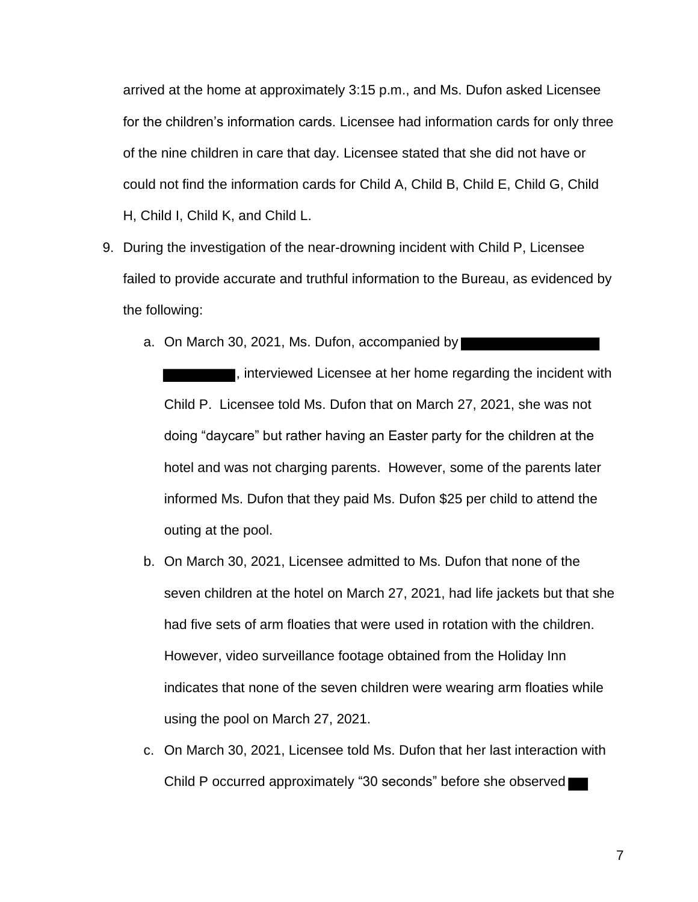arrived at the home at approximately 3:15 p.m., and Ms. Dufon asked Licensee for the children's information cards. Licensee had information cards for only three of the nine children in care that day. Licensee stated that she did not have or could not find the information cards for Child A, Child B, Child E, Child G, Child H, Child I, Child K, and Child L.

- 9. During the investigation of the near-drowning incident with Child P, Licensee failed to provide accurate and truthful information to the Bureau, as evidenced by the following:
	- a. On March 30, 2021, Ms. Dufon, accompanied by

, interviewed Licensee at her home regarding the incident with Child P. Licensee told Ms. Dufon that on March 27, 2021, she was not doing "daycare" but rather having an Easter party for the children at the hotel and was not charging parents. However, some of the parents later informed Ms. Dufon that they paid Ms. Dufon \$25 per child to attend the outing at the pool.

- b. On March 30, 2021, Licensee admitted to Ms. Dufon that none of the seven children at the hotel on March 27, 2021, had life jackets but that she had five sets of arm floaties that were used in rotation with the children. However, video surveillance footage obtained from the Holiday Inn indicates that none of the seven children were wearing arm floaties while using the pool on March 27, 2021.
- c. On March 30, 2021, Licensee told Ms. Dufon that her last interaction with Child P occurred approximately "30 seconds" before she observed

7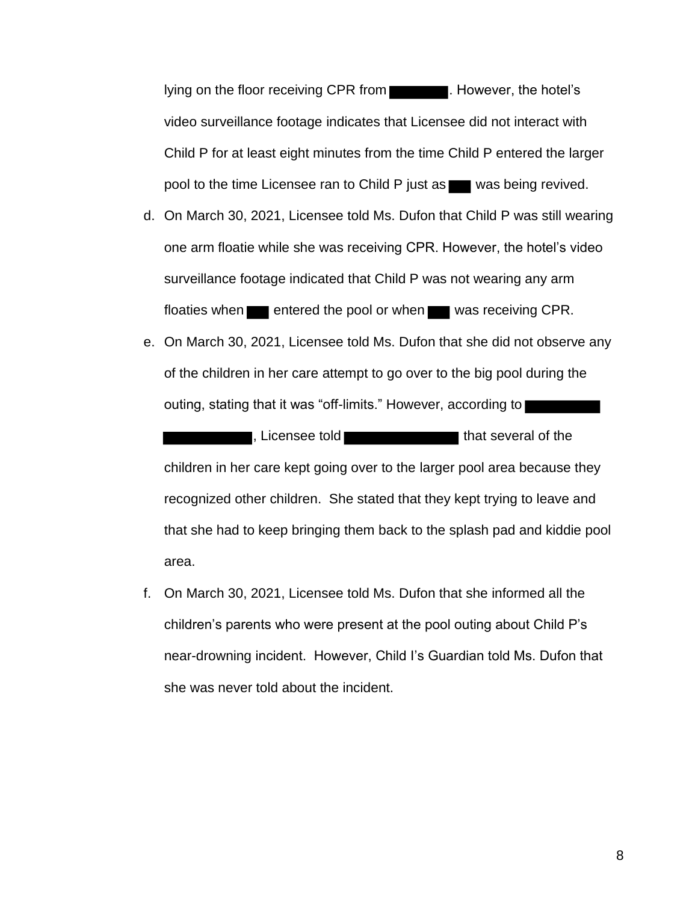lying on the floor receiving CPR from **the contact of the floor**. However, the hotel's video surveillance footage indicates that Licensee did not interact with Child P for at least eight minutes from the time Child P entered the larger pool to the time Licensee ran to Child P just as was being revived.

- d. On March 30, 2021, Licensee told Ms. Dufon that Child P was still wearing one arm floatie while she was receiving CPR. However, the hotel's video surveillance footage indicated that Child P was not wearing any arm floaties when **entered the pool or when** was receiving CPR.
- e. On March 30, 2021, Licensee told Ms. Dufon that she did not observe any of the children in her care attempt to go over to the big pool during the outing, stating that it was "off-limits." However, according to

, Licensee told that several of the children in her care kept going over to the larger pool area because they recognized other children. She stated that they kept trying to leave and that she had to keep bringing them back to the splash pad and kiddie pool area.

f. On March 30, 2021, Licensee told Ms. Dufon that she informed all the children's parents who were present at the pool outing about Child P's near-drowning incident. However, Child I's Guardian told Ms. Dufon that she was never told about the incident.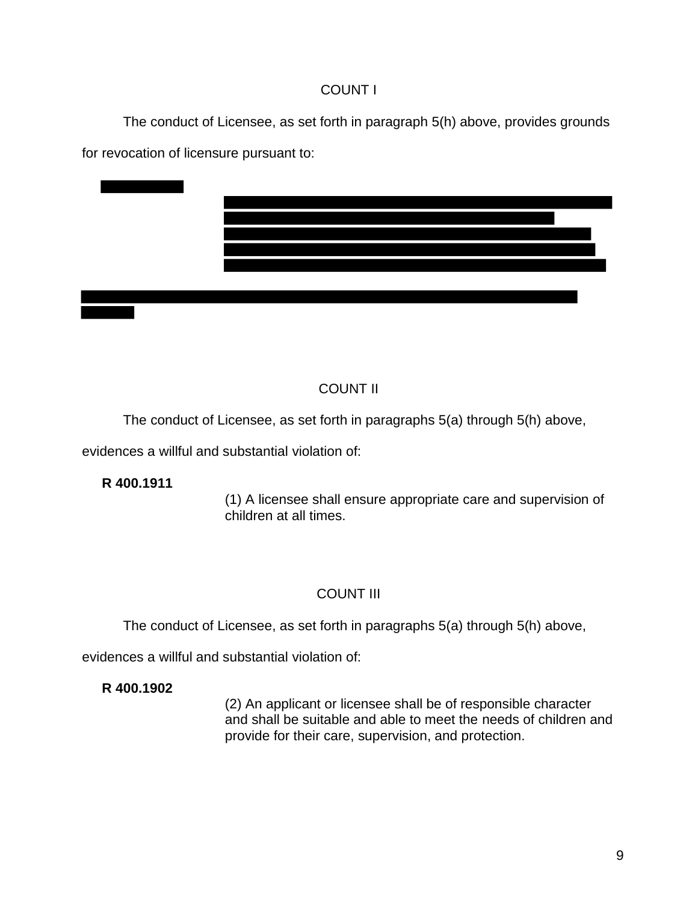# COUNT I

The conduct of Licensee, as set forth in paragraph 5(h) above, provides grounds for revocation of licensure pursuant to:



# COUNT II

The conduct of Licensee, as set forth in paragraphs 5(a) through 5(h) above,

evidences a willful and substantial violation of:

# **R 400.1911**

(1) A licensee shall ensure appropriate care and supervision of children at all times.

# COUNT III

The conduct of Licensee, as set forth in paragraphs 5(a) through 5(h) above,

evidences a willful and substantial violation of:

# **R 400.1902**

(2) An applicant or licensee shall be of responsible character and shall be suitable and able to meet the needs of children and provide for their care, supervision, and protection.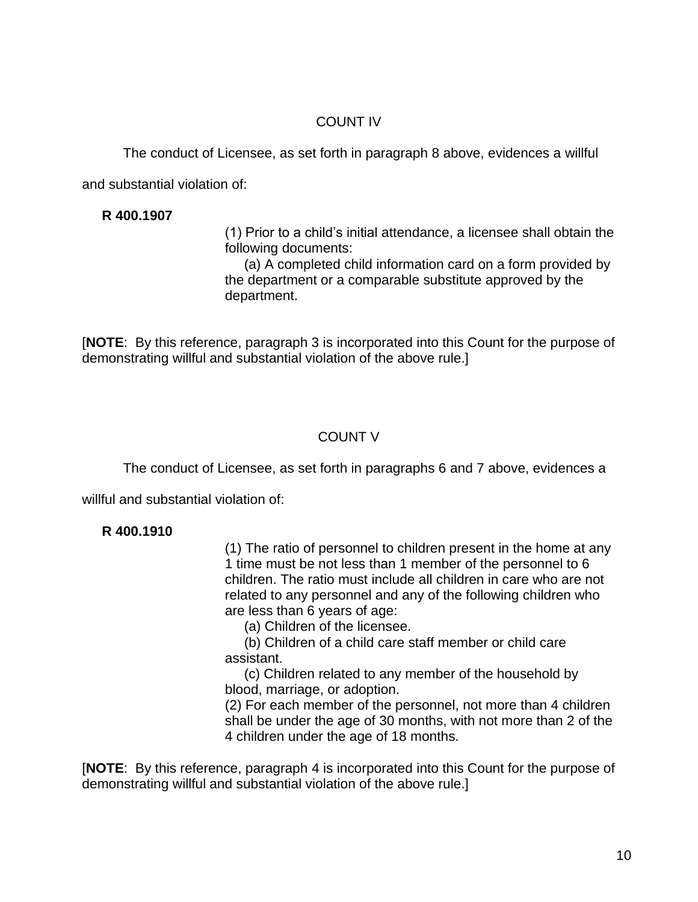# COUNT IV

The conduct of Licensee, as set forth in paragraph 8 above, evidences a willful

and substantial violation of:

# **R 400.1907**

(1) Prior to a child's initial attendance, a licensee shall obtain the following documents:

(a) A completed child information card on a form provided by the department or a comparable substitute approved by the department.

[**NOTE**: By this reference, paragraph 3 is incorporated into this Count for the purpose of demonstrating willful and substantial violation of the above rule.]

# COUNT V

The conduct of Licensee, as set forth in paragraphs 6 and 7 above, evidences a

willful and substantial violation of:

# **R 400.1910**

(1) The ratio of personnel to children present in the home at any 1 time must be not less than 1 member of the personnel to 6 children. The ratio must include all children in care who are not related to any personnel and any of the following children who are less than 6 years of age:

(a) Children of the licensee.

(b) Children of a child care staff member or child care assistant.

(c) Children related to any member of the household by blood, marriage, or adoption.

(2) For each member of the personnel, not more than 4 children shall be under the age of 30 months, with not more than 2 of the 4 children under the age of 18 months.

[**NOTE**: By this reference, paragraph 4 is incorporated into this Count for the purpose of demonstrating willful and substantial violation of the above rule.]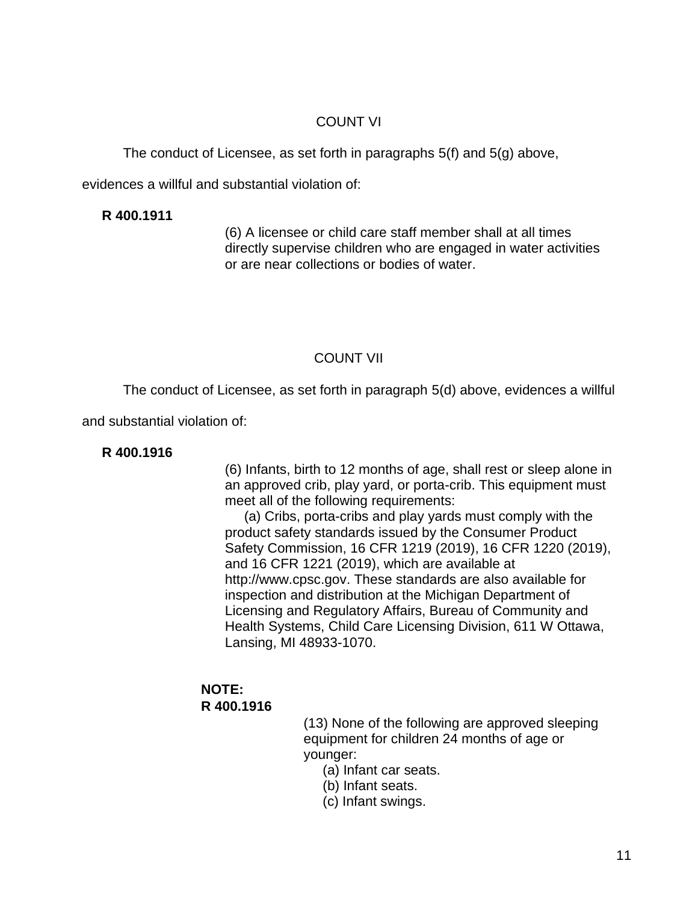## COUNT VI

The conduct of Licensee, as set forth in paragraphs 5(f) and 5(g) above,

evidences a willful and substantial violation of:

#### **R 400.1911**

(6) A licensee or child care staff member shall at all times directly supervise children who are engaged in water activities or are near collections or bodies of water.

# COUNT VII

The conduct of Licensee, as set forth in paragraph 5(d) above, evidences a willful

and substantial violation of:

### **R 400.1916**

(6) Infants, birth to 12 months of age, shall rest or sleep alone in an approved crib, play yard, or porta-crib. This equipment must meet all of the following requirements:

(a) Cribs, porta-cribs and play yards must comply with the product safety standards issued by the Consumer Product Safety Commission, 16 CFR 1219 (2019), 16 CFR 1220 (2019), and 16 CFR 1221 (2019), which are available at http://www.cpsc.gov. These standards are also available for inspection and distribution at the Michigan Department of Licensing and Regulatory Affairs, Bureau of Community and Health Systems, Child Care Licensing Division, 611 W Ottawa, Lansing, MI 48933-1070.

# **NOTE: R 400.1916**

(13) None of the following are approved sleeping equipment for children 24 months of age or younger:

(a) Infant car seats.

- (b) Infant seats.
- (c) Infant swings.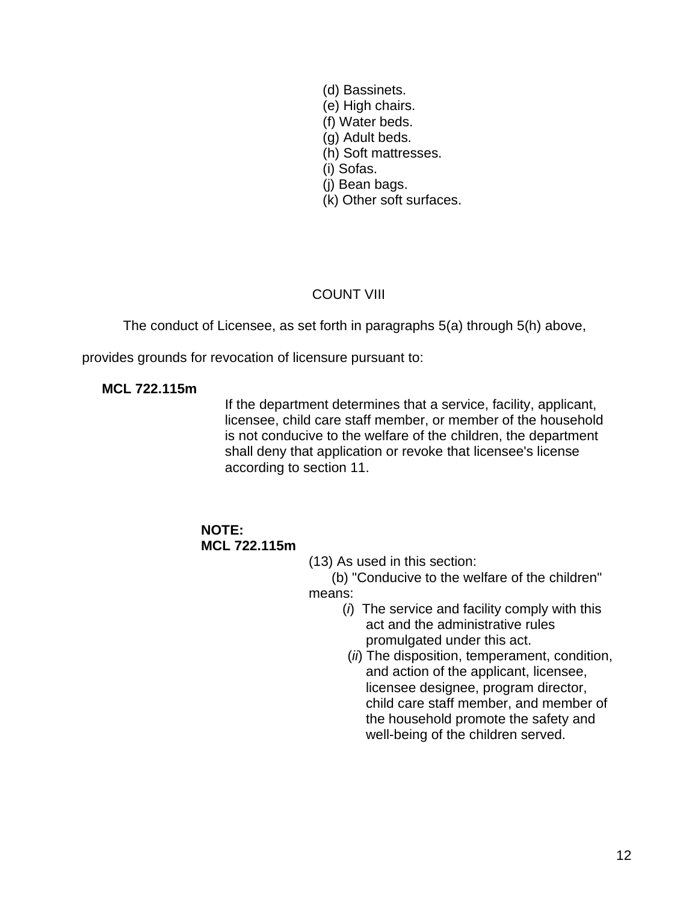(d) Bassinets. (e) High chairs. (f) Water beds. (g) Adult beds. (h) Soft mattresses. (i) Sofas. (j) Bean bags. (k) Other soft surfaces.

# COUNT VIII

The conduct of Licensee, as set forth in paragraphs 5(a) through 5(h) above,

provides grounds for revocation of licensure pursuant to:

#### **MCL 722.115m**

If the department determines that a service, facility, applicant, licensee, child care staff member, or member of the household is not conducive to the welfare of the children, the department shall deny that application or revoke that licensee's license according to section 11.

### **NOTE: MCL 722.115m**

(13) As used in this section:

(b) "Conducive to the welfare of the children" means:

- (*i*) The service and facility comply with this act and the administrative rules promulgated under this act.
- (*ii*) The disposition, temperament, condition, and action of the applicant, licensee, licensee designee, program director, child care staff member, and member of the household promote the safety and well-being of the children served.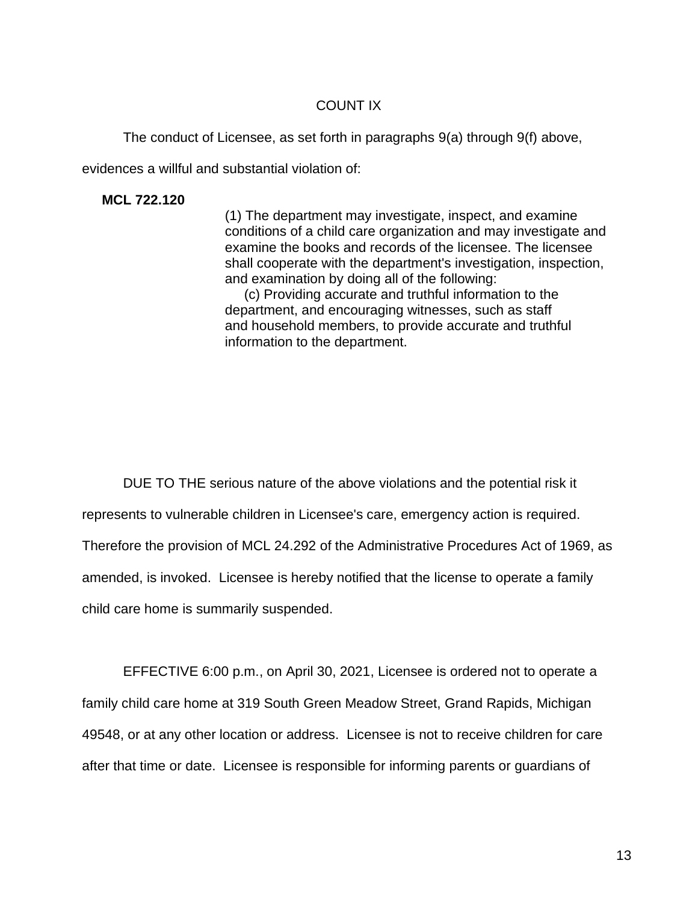## COUNT IX

The conduct of Licensee, as set forth in paragraphs 9(a) through 9(f) above,

evidences a willful and substantial violation of:

**MCL 722.120**

(1) The department may investigate, inspect, and examine conditions of a child care organization and may investigate and examine the books and records of the licensee. The licensee shall cooperate with the department's investigation, inspection, and examination by doing all of the following:

(c) Providing accurate and truthful information to the department, and encouraging witnesses, such as staff and household members, to provide accurate and truthful information to the department.

DUE TO THE serious nature of the above violations and the potential risk it represents to vulnerable children in Licensee's care, emergency action is required. Therefore the provision of MCL 24.292 of the Administrative Procedures Act of 1969, as amended, is invoked. Licensee is hereby notified that the license to operate a family child care home is summarily suspended.

EFFECTIVE 6:00 p.m., on April 30, 2021, Licensee is ordered not to operate a family child care home at 319 South Green Meadow Street, Grand Rapids, Michigan 49548, or at any other location or address. Licensee is not to receive children for care after that time or date. Licensee is responsible for informing parents or guardians of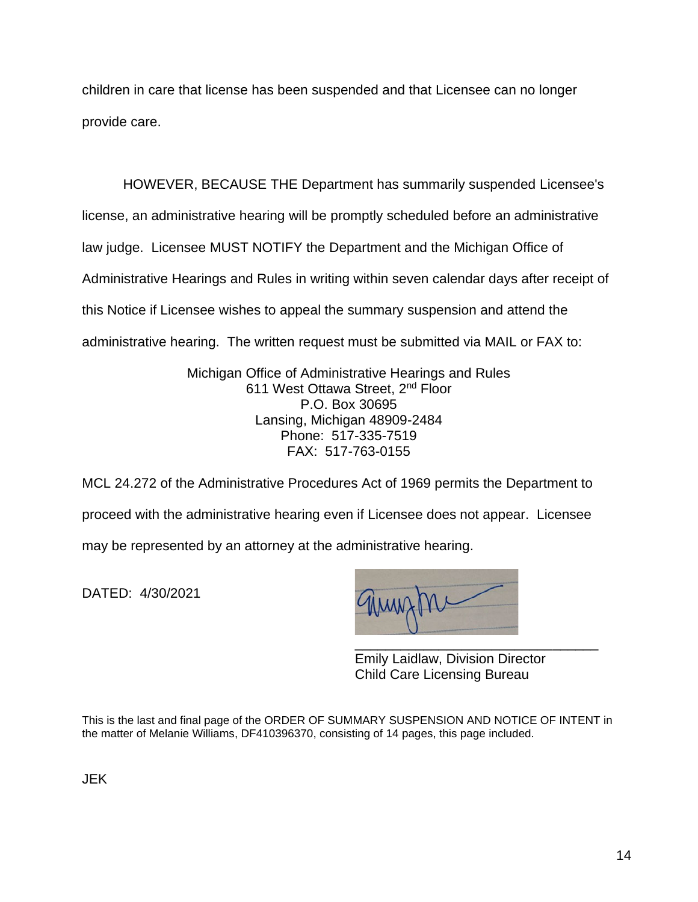children in care that license has been suspended and that Licensee can no longer provide care.

HOWEVER, BECAUSE THE Department has summarily suspended Licensee's license, an administrative hearing will be promptly scheduled before an administrative law judge. Licensee MUST NOTIFY the Department and the Michigan Office of Administrative Hearings and Rules in writing within seven calendar days after receipt of this Notice if Licensee wishes to appeal the summary suspension and attend the administrative hearing. The written request must be submitted via MAIL or FAX to:

> Michigan Office of Administrative Hearings and Rules 611 West Ottawa Street, 2nd Floor P.O. Box 30695 Lansing, Michigan 48909-2484 Phone: 517-335-7519 FAX: 517-763-0155

MCL 24.272 of the Administrative Procedures Act of 1969 permits the Department to proceed with the administrative hearing even if Licensee does not appear. Licensee may be represented by an attorney at the administrative hearing.

DATED: 4/30/2021

\_\_\_\_\_\_\_\_\_\_\_\_\_\_\_\_\_\_\_\_\_\_\_\_\_\_\_\_\_\_\_\_

Emily Laidlaw, Division Director Child Care Licensing Bureau

This is the last and final page of the ORDER OF SUMMARY SUSPENSION AND NOTICE OF INTENT in the matter of Melanie Williams, DF410396370, consisting of 14 pages, this page included.

JEK